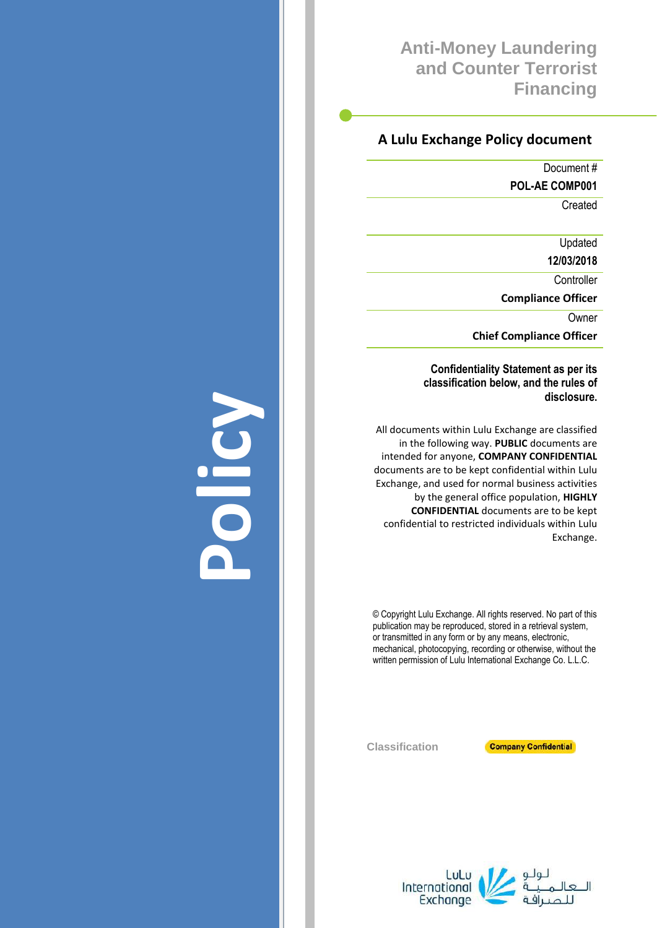## **Anti-Money Laundering and Counter Terrorist Financing**

## **A Lulu Exchange Policy document**

Document #

**POL-AE COMP001**

**Created** 

Updated

**12/03/2018**

**Controller** 

**Compliance Officer**

Owner

**Chief Compliance Officer**

**Confidentiality Statement as per its classification below, and the rules of disclosure.**

All documents within Lulu Exchange are classified in the following way. **PUBLIC** documents are intended for anyone, **COMPANY CONFIDENTIAL** documents are to be kept confidential within Lulu Exchange, and used for normal business activities by the general office population, **HIGHLY CONFIDENTIAL** documents are to be kept confidential to restricted individuals within Lulu Exchange.

© Copyright Lulu Exchange. All rights reserved. No part of this publication may be reproduced, stored in a retrieval system, or transmitted in any form or by any means, electronic, mechanical, photocopying, recording or otherwise, without the written permission of Lulu International Exchange Co. L.L.C.

**Classification**



LuLu<br>International Exchange

# **Policy**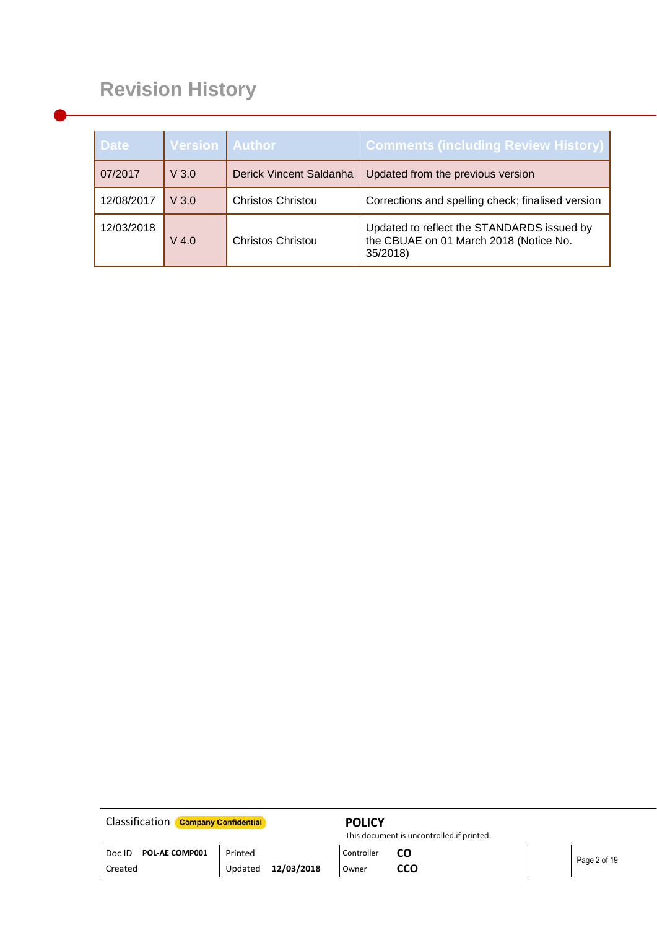# **Revision History**

| <b>Date</b> | <b>Version Author</b> |                          | <b>Comments (including Review History)</b>                                                       |
|-------------|-----------------------|--------------------------|--------------------------------------------------------------------------------------------------|
| 07/2017     | V3.0                  | Derick Vincent Saldanha  | Updated from the previous version                                                                |
| 12/08/2017  | V3.0                  | <b>Christos Christou</b> | Corrections and spelling check; finalised version                                                |
| 12/03/2018  | V 4.0                 | <b>Christos Christou</b> | Updated to reflect the STANDARDS issued by<br>the CBUAE on 01 March 2018 (Notice No.<br>35/2018) |

**Classification Company Confidential POLICY** 

This document is uncontrolled if printed.

Doc ID **POL-AE COMP001** Printed Printed Controller **CO** Page 2 of 19

Updated **12/03/2018**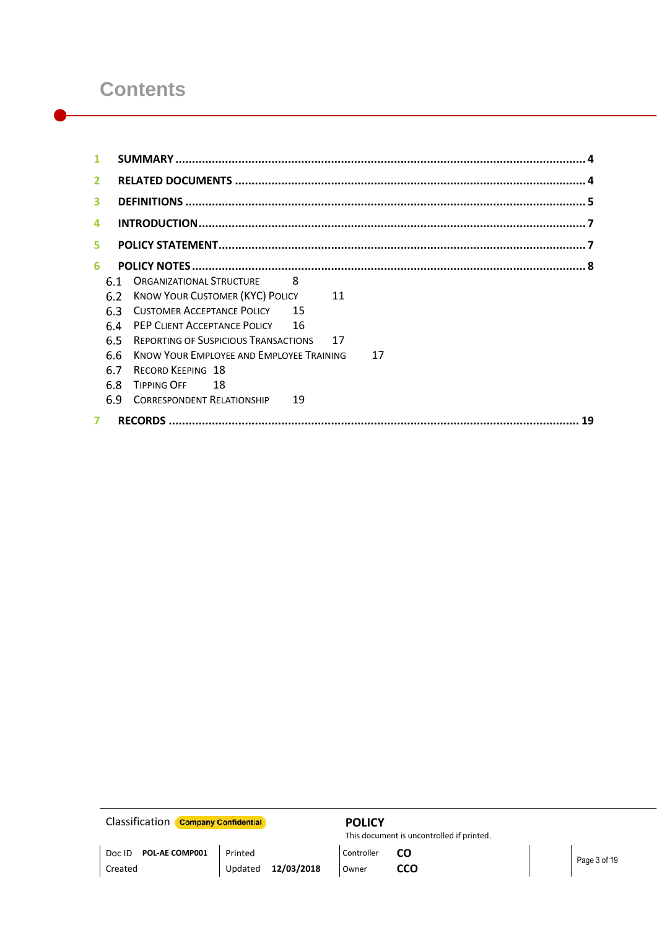## **Contents**

| 1              |     |                                                       |
|----------------|-----|-------------------------------------------------------|
| $\overline{2}$ |     |                                                       |
| 3              |     |                                                       |
| 4              |     |                                                       |
| 5              |     |                                                       |
| 6              |     |                                                       |
|                | 61  | <b>ORGANIZATIONAL STRUCTURE</b><br><b>PA</b>          |
|                | 6.2 | <b>KNOW YOUR CUSTOMER (KYC) POLICY</b><br>11          |
|                | 6.3 | <b>CUSTOMER ACCEPTANCE POLICY 15</b>                  |
|                | 6.4 | PEP CLIENT ACCEPTANCE POLICY 16                       |
|                | 6.5 | 17<br><b>REPORTING OF SUSPICIOUS TRANSACTIONS</b>     |
|                | 6.6 | <b>KNOW YOUR EMPLOYEE AND EMPLOYEE TRAINING</b><br>17 |
|                | 6.7 | <b>RECORD KEEPING 18</b>                              |
|                | 6.8 | <b>TIPPING OFF</b><br>- 18                            |
|                | 6.9 | <b>CORRESPONDENT RELATIONSHIP</b><br>19               |
| $\overline{ }$ |     | 19                                                    |

**Classification Company Confidential POLICY** 

This document is uncontrolled if printed.

Updated **12/03/2018**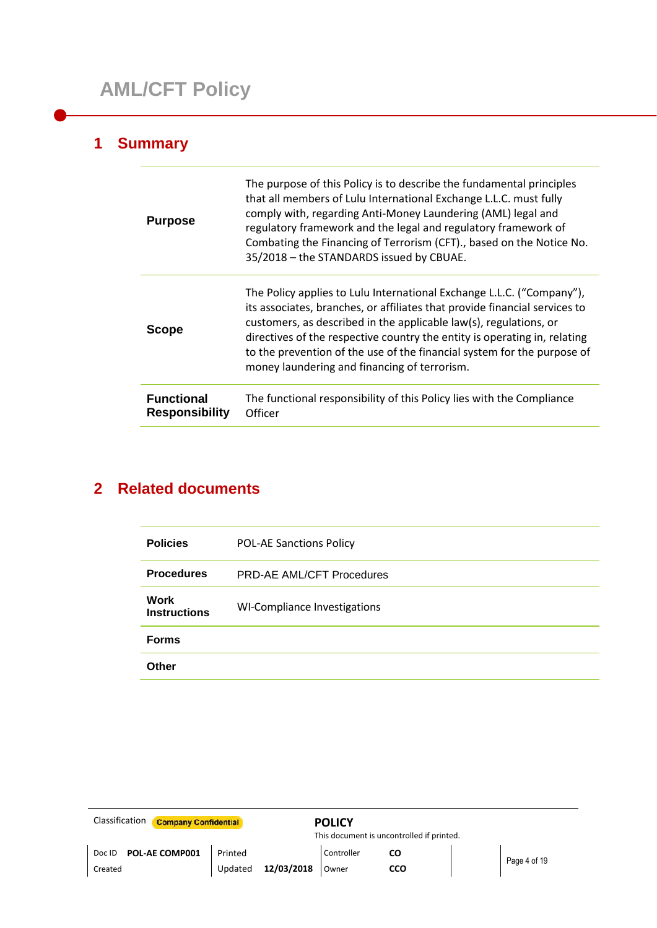## **1 Summary**

i.

| <b>Purpose</b>                             | The purpose of this Policy is to describe the fundamental principles<br>that all members of Lulu International Exchange L.L.C. must fully<br>comply with, regarding Anti-Money Laundering (AML) legal and<br>regulatory framework and the legal and regulatory framework of<br>Combating the Financing of Terrorism (CFT)., based on the Notice No.<br>35/2018 - the STANDARDS issued by CBUAE.                                  |
|--------------------------------------------|----------------------------------------------------------------------------------------------------------------------------------------------------------------------------------------------------------------------------------------------------------------------------------------------------------------------------------------------------------------------------------------------------------------------------------|
| <b>Scope</b>                               | The Policy applies to Lulu International Exchange L.L.C. ("Company"),<br>its associates, branches, or affiliates that provide financial services to<br>customers, as described in the applicable law(s), regulations, or<br>directives of the respective country the entity is operating in, relating<br>to the prevention of the use of the financial system for the purpose of<br>money laundering and financing of terrorism. |
| <b>Functional</b><br><b>Responsibility</b> | The functional responsibility of this Policy lies with the Compliance<br>Officer                                                                                                                                                                                                                                                                                                                                                 |

## **2 Related documents**

| <b>Policies</b>                    | <b>POL-AE Sanctions Policy</b>   |
|------------------------------------|----------------------------------|
| <b>Procedures</b>                  | <b>PRD-AE AML/CFT Procedures</b> |
| <b>Work</b><br><b>Instructions</b> | WI-Compliance Investigations     |
| <b>Forms</b>                       |                                  |
| Other                              |                                  |

| Classification<br><b>Company Confidential</b> |                    |            | <b>POLICY</b>       | This document is uncontrolled if printed. |              |
|-----------------------------------------------|--------------------|------------|---------------------|-------------------------------------------|--------------|
| <b>POL-AE COMP001</b><br>Doc ID<br>Created    | Printed<br>Updated | 12/03/2018 | Controller<br>Owner | cco                                       | Page 4 of 19 |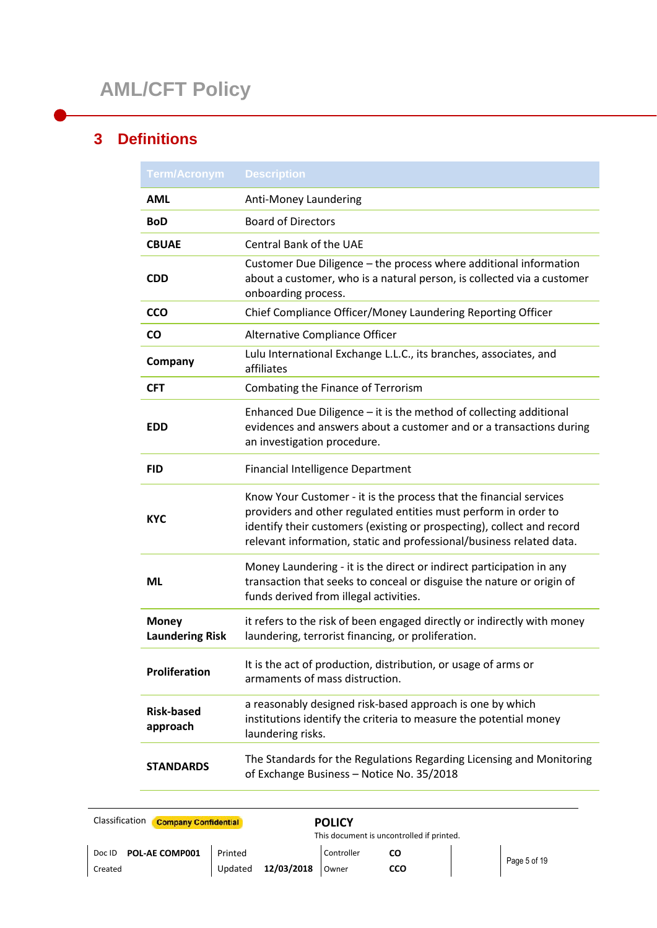## **3 Definitions**

| <b>Term/Acronym</b>                    | <b>Description</b>                                                                                                                                                                                                                                                                      |
|----------------------------------------|-----------------------------------------------------------------------------------------------------------------------------------------------------------------------------------------------------------------------------------------------------------------------------------------|
| <b>AML</b>                             | Anti-Money Laundering                                                                                                                                                                                                                                                                   |
| <b>BoD</b>                             | <b>Board of Directors</b>                                                                                                                                                                                                                                                               |
| <b>CBUAE</b>                           | <b>Central Bank of the UAE</b>                                                                                                                                                                                                                                                          |
| <b>CDD</b>                             | Customer Due Diligence - the process where additional information<br>about a customer, who is a natural person, is collected via a customer<br>onboarding process.                                                                                                                      |
| <b>CCO</b>                             | Chief Compliance Officer/Money Laundering Reporting Officer                                                                                                                                                                                                                             |
| CO.                                    | Alternative Compliance Officer                                                                                                                                                                                                                                                          |
| Company                                | Lulu International Exchange L.L.C., its branches, associates, and<br>affiliates                                                                                                                                                                                                         |
| <b>CFT</b>                             | Combating the Finance of Terrorism                                                                                                                                                                                                                                                      |
| <b>EDD</b>                             | Enhanced Due Diligence - it is the method of collecting additional<br>evidences and answers about a customer and or a transactions during<br>an investigation procedure.                                                                                                                |
| <b>FID</b>                             | <b>Financial Intelligence Department</b>                                                                                                                                                                                                                                                |
| <b>KYC</b>                             | Know Your Customer - it is the process that the financial services<br>providers and other regulated entities must perform in order to<br>identify their customers (existing or prospecting), collect and record<br>relevant information, static and professional/business related data. |
| ML                                     | Money Laundering - it is the direct or indirect participation in any<br>transaction that seeks to conceal or disguise the nature or origin of<br>funds derived from illegal activities.                                                                                                 |
| <b>Money</b><br><b>Laundering Risk</b> | it refers to the risk of been engaged directly or indirectly with money<br>laundering, terrorist financing, or proliferation.                                                                                                                                                           |
| Proliferation                          | It is the act of production, distribution, or usage of arms or<br>armaments of mass distruction.                                                                                                                                                                                        |
| <b>Risk-based</b><br>approach          | a reasonably designed risk-based approach is one by which<br>institutions identify the criteria to measure the potential money<br>laundering risks.                                                                                                                                     |
| <b>STANDARDS</b>                       | The Standards for the Regulations Regarding Licensing and Monitoring<br>of Exchange Business - Notice No. 35/2018                                                                                                                                                                       |

| Classification<br><b>Company Confidential</b> |                                  | <b>POLICY</b><br>This document is uncontrolled if printed. |                  |              |
|-----------------------------------------------|----------------------------------|------------------------------------------------------------|------------------|--------------|
| POL-AE COMP001<br>Doc ID<br>Created           | Printed<br>12/03/2018<br>Updated | Controller<br>Owner                                        | CO<br><b>CCO</b> | Page 5 of 19 |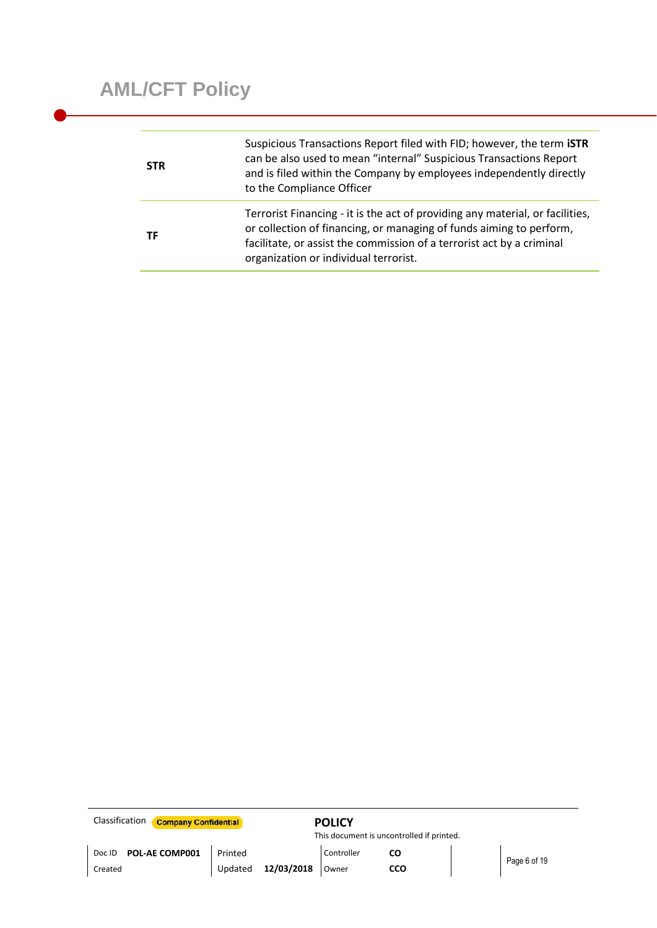| <b>STR</b> | Suspicious Transactions Report filed with FID; however, the term <b>ISTR</b><br>can be also used to mean "internal" Suspicious Transactions Report<br>and is filed within the Company by employees independently directly<br>to the Compliance Officer                 |
|------------|------------------------------------------------------------------------------------------------------------------------------------------------------------------------------------------------------------------------------------------------------------------------|
| ТF         | Terrorist Financing - it is the act of providing any material, or facilities,<br>or collection of financing, or managing of funds aiming to perform,<br>facilitate, or assist the commission of a terrorist act by a criminal<br>organization or individual terrorist. |

| Classification<br><b>Company Confidential</b> |         |            | <b>POLICY</b> |                                           |              |
|-----------------------------------------------|---------|------------|---------------|-------------------------------------------|--------------|
|                                               |         |            |               | This document is uncontrolled if printed. |              |
| POL-AE COMP001<br>Doc ID                      | Printed |            | Controller    | CO                                        |              |
| Created                                       | Updated | 12/03/2018 | Owner         | cco                                       | Page 6 of 19 |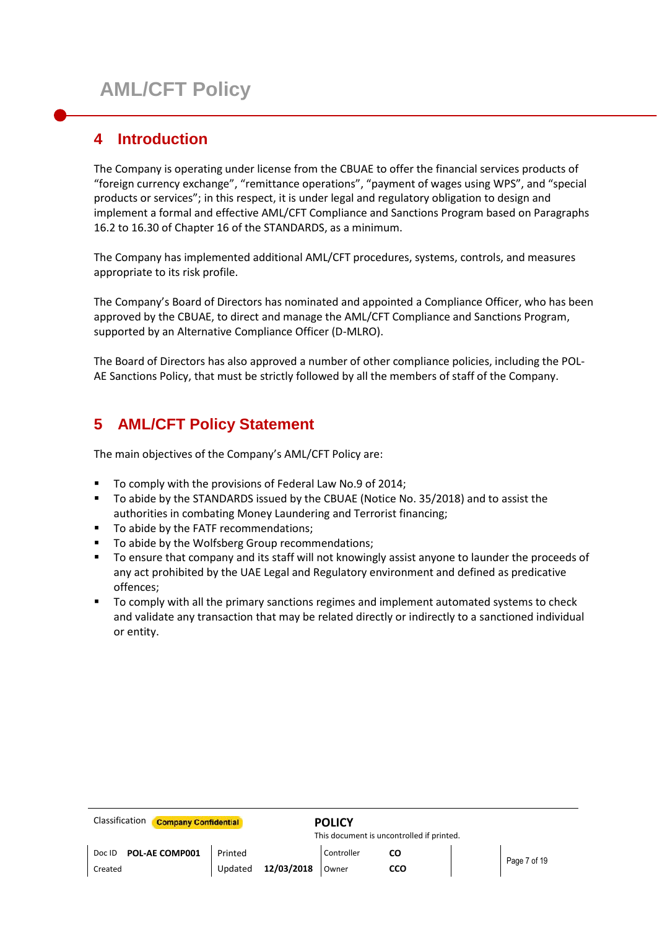## **4 Introduction**

The Company is operating under license from the CBUAE to offer the financial services products of "foreign currency exchange", "remittance operations", "payment of wages using WPS", and "special products or services"; in this respect, it is under legal and regulatory obligation to design and implement a formal and effective AML/CFT Compliance and Sanctions Program based on Paragraphs 16.2 to 16.30 of Chapter 16 of the STANDARDS, as a minimum.

The Company has implemented additional AML/CFT procedures, systems, controls, and measures appropriate to its risk profile.

The Company's Board of Directors has nominated and appointed a Compliance Officer, who has been approved by the CBUAE, to direct and manage the AML/CFT Compliance and Sanctions Program, supported by an Alternative Compliance Officer (D-MLRO).

The Board of Directors has also approved a number of other compliance policies, including the POL-AE Sanctions Policy, that must be strictly followed by all the members of staff of the Company.

## **5 AML/CFT Policy Statement**

The main objectives of the Company's AML/CFT Policy are:

- To comply with the provisions of Federal Law No.9 of 2014;
- To abide by the STANDARDS issued by the CBUAE (Notice No. 35/2018) and to assist the authorities in combating Money Laundering and Terrorist financing;
- To abide by the FATF recommendations;
- To abide by the Wolfsberg Group recommendations;
- To ensure that company and its staff will not knowingly assist anyone to launder the proceeds of any act prohibited by the UAE Legal and Regulatory environment and defined as predicative offences;
- To comply with all the primary sanctions regimes and implement automated systems to check and validate any transaction that may be related directly or indirectly to a sanctioned individual or entity.

| <b>Classification</b><br><b>Company Confidential</b> |         |            | <b>POLICY</b> |                                           |  |              |
|------------------------------------------------------|---------|------------|---------------|-------------------------------------------|--|--------------|
|                                                      |         |            |               | This document is uncontrolled if printed. |  |              |
| POL-AE COMP001<br>Doc ID                             | Printed |            | Controller    | CO                                        |  | Page 7 of 19 |
| Created                                              | Updated | 12/03/2018 | Owner         | cco                                       |  |              |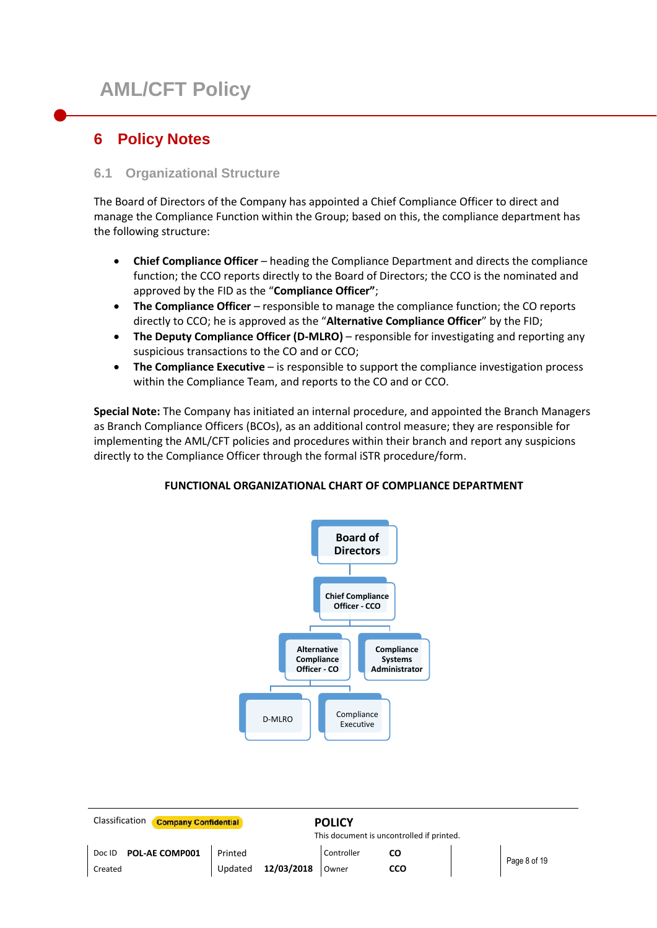## **6 Policy Notes**

## **6.1 Organizational Structure**

The Board of Directors of the Company has appointed a Chief Compliance Officer to direct and manage the Compliance Function within the Group; based on this, the compliance department has the following structure:

- **Chief Compliance Officer** heading the Compliance Department and directs the compliance function; the CCO reports directly to the Board of Directors; the CCO is the nominated and approved by the FID as the "**Compliance Officer"**;
- **The Compliance Officer** responsible to manage the compliance function; the CO reports directly to CCO; he is approved as the "**Alternative Compliance Officer**" by the FID;
- **The Deputy Compliance Officer (D-MLRO)** responsible for investigating and reporting any suspicious transactions to the CO and or CCO;
- **The Compliance Executive** is responsible to support the compliance investigation process within the Compliance Team, and reports to the CO and or CCO.

**Special Note:** The Company has initiated an internal procedure, and appointed the Branch Managers as Branch Compliance Officers (BCOs), as an additional control measure; they are responsible for implementing the AML/CFT policies and procedures within their branch and report any suspicions directly to the Compliance Officer through the formal iSTR procedure/form.

## **FUNCTIONAL ORGANIZATIONAL CHART OF COMPLIANCE DEPARTMENT**



| Classification<br><b>Company Confidential</b> |         |            | <b>POLICY</b> | This document is uncontrolled if printed. |              |
|-----------------------------------------------|---------|------------|---------------|-------------------------------------------|--------------|
| POL-AE COMP001<br>Doc ID                      | Printed |            | Controller    | CO                                        | Page 8 of 19 |
| Created                                       | Updated | 12/03/2018 | Owner         | CCO                                       |              |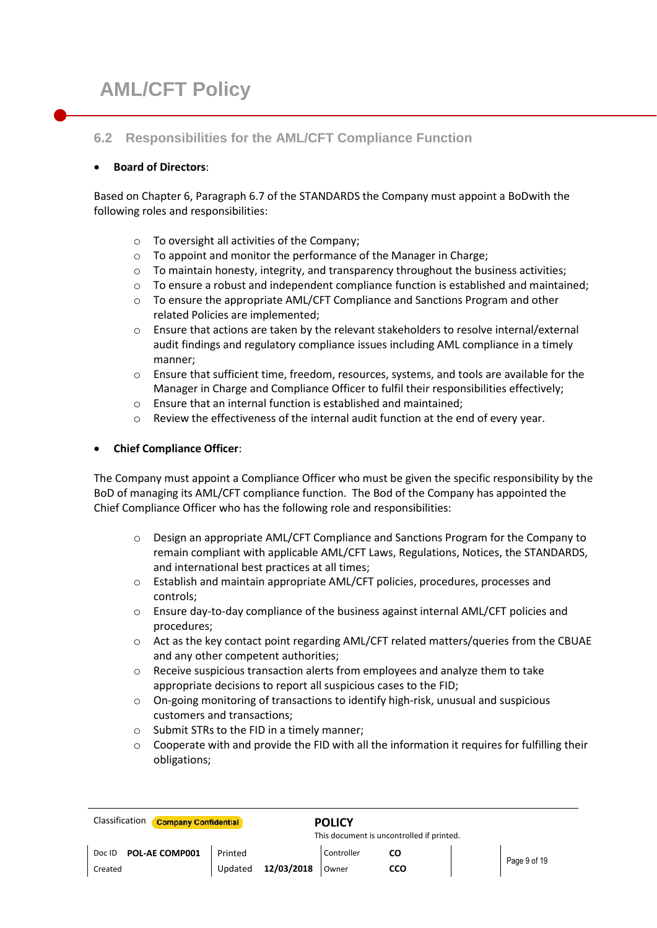## **6.2 Responsibilities for the AML/CFT Compliance Function**

## **Board of Directors**:

Based on Chapter 6, Paragraph 6.7 of the STANDARDS the Company must appoint a BoDwith the following roles and responsibilities:

- o To oversight all activities of the Company;
- o To appoint and monitor the performance of the Manager in Charge;
- o To maintain honesty, integrity, and transparency throughout the business activities;
- $\circ$  To ensure a robust and independent compliance function is established and maintained;
- o To ensure the appropriate AML/CFT Compliance and Sanctions Program and other related Policies are implemented;
- o Ensure that actions are taken by the relevant stakeholders to resolve internal/external audit findings and regulatory compliance issues including AML compliance in a timely manner;
- o Ensure that sufficient time, freedom, resources, systems, and tools are available for the Manager in Charge and Compliance Officer to fulfil their responsibilities effectively;
- o Ensure that an internal function is established and maintained;
- $\circ$  Review the effectiveness of the internal audit function at the end of every year.

## **Chief Compliance Officer**:

The Company must appoint a Compliance Officer who must be given the specific responsibility by the BoD of managing its AML/CFT compliance function. The Bod of the Company has appointed the Chief Compliance Officer who has the following role and responsibilities:

- $\circ$  Design an appropriate AML/CFT Compliance and Sanctions Program for the Company to remain compliant with applicable AML/CFT Laws, Regulations, Notices, the STANDARDS, and international best practices at all times;
- o Establish and maintain appropriate AML/CFT policies, procedures, processes and controls;
- o Ensure day-to-day compliance of the business against internal AML/CFT policies and procedures;
- o Act as the key contact point regarding AML/CFT related matters/queries from the CBUAE and any other competent authorities;
- $\circ$  Receive suspicious transaction alerts from employees and analyze them to take appropriate decisions to report all suspicious cases to the FID;
- $\circ$  On-going monitoring of transactions to identify high-risk, unusual and suspicious customers and transactions;
- o Submit STRs to the FID in a timely manner;
- $\circ$  Cooperate with and provide the FID with all the information it requires for fulfilling their obligations;

| Classification<br><b>Company Confidential</b> |         |            | <b>POLICY</b><br>This document is uncontrolled if printed. |     |  |              |
|-----------------------------------------------|---------|------------|------------------------------------------------------------|-----|--|--------------|
| <b>POL-AE COMP001</b><br>Doc ID               | Printed |            | Controller                                                 |     |  | Page 9 of 19 |
| Created                                       | Updated | 12/03/2018 | Owner                                                      | ссо |  |              |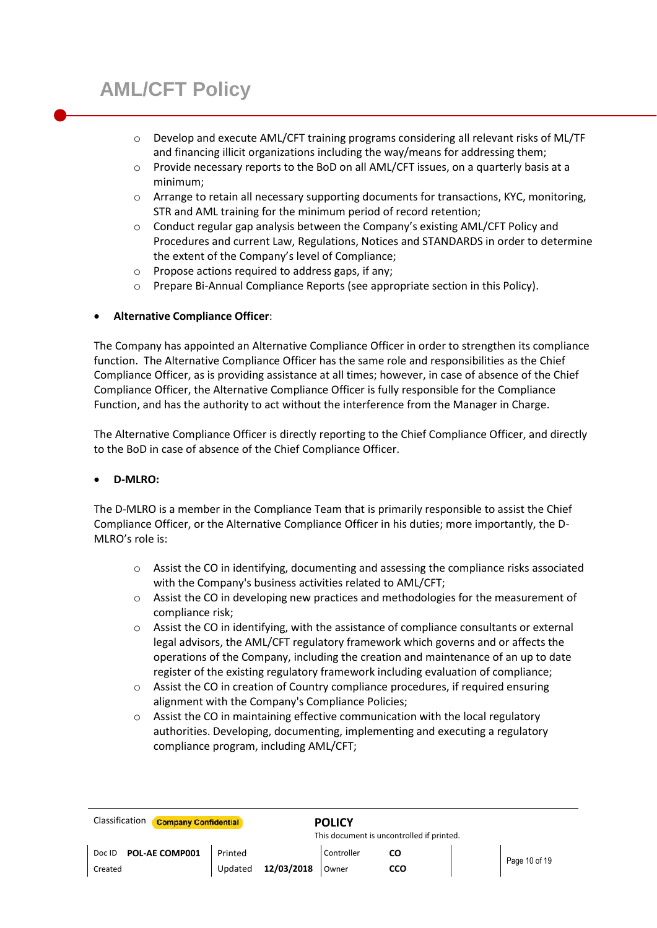- o Develop and execute AML/CFT training programs considering all relevant risks of ML/TF and financing illicit organizations including the way/means for addressing them;
- o Provide necessary reports to the BoD on all AML/CFT issues, on a quarterly basis at a minimum;
- o Arrange to retain all necessary supporting documents for transactions, KYC, monitoring, STR and AML training for the minimum period of record retention;
- o Conduct regular gap analysis between the Company's existing AML/CFT Policy and Procedures and current Law, Regulations, Notices and STANDARDS in order to determine the extent of the Company's level of Compliance;
- o Propose actions required to address gaps, if any;
- o Prepare Bi-Annual Compliance Reports (see appropriate section in this Policy).

## **Alternative Compliance Officer**:

The Company has appointed an Alternative Compliance Officer in order to strengthen its compliance function. The Alternative Compliance Officer has the same role and responsibilities as the Chief Compliance Officer, as is providing assistance at all times; however, in case of absence of the Chief Compliance Officer, the Alternative Compliance Officer is fully responsible for the Compliance Function, and has the authority to act without the interference from the Manager in Charge.

The Alternative Compliance Officer is directly reporting to the Chief Compliance Officer, and directly to the BoD in case of absence of the Chief Compliance Officer.

#### **D-MLRO:**

The D-MLRO is a member in the Compliance Team that is primarily responsible to assist the Chief Compliance Officer, or the Alternative Compliance Officer in his duties; more importantly, the D-MLRO's role is:

- o Assist the CO in identifying, documenting and assessing the compliance risks associated with the Company's business activities related to AML/CFT;
- o Assist the CO in developing new practices and methodologies for the measurement of compliance risk;
- o Assist the CO in identifying, with the assistance of compliance consultants or external legal advisors, the AML/CFT regulatory framework which governs and or affects the operations of the Company, including the creation and maintenance of an up to date register of the existing regulatory framework including evaluation of compliance;
- o Assist the CO in creation of Country compliance procedures, if required ensuring alignment with the Company's Compliance Policies;
- o Assist the CO in maintaining effective communication with the local regulatory authorities. Developing, documenting, implementing and executing a regulatory compliance program, including AML/CFT;

| Classification<br><b>Company Confidential</b> |                       | <b>POLICY</b> | This document is uncontrolled if printed. |  |               |  |
|-----------------------------------------------|-----------------------|---------------|-------------------------------------------|--|---------------|--|
| POL-AE COMP001<br>Doc ID                      | Printed               | Controller    |                                           |  | Page 10 of 19 |  |
| Created                                       | 12/03/2018<br>Updated | Owner         | ссо                                       |  |               |  |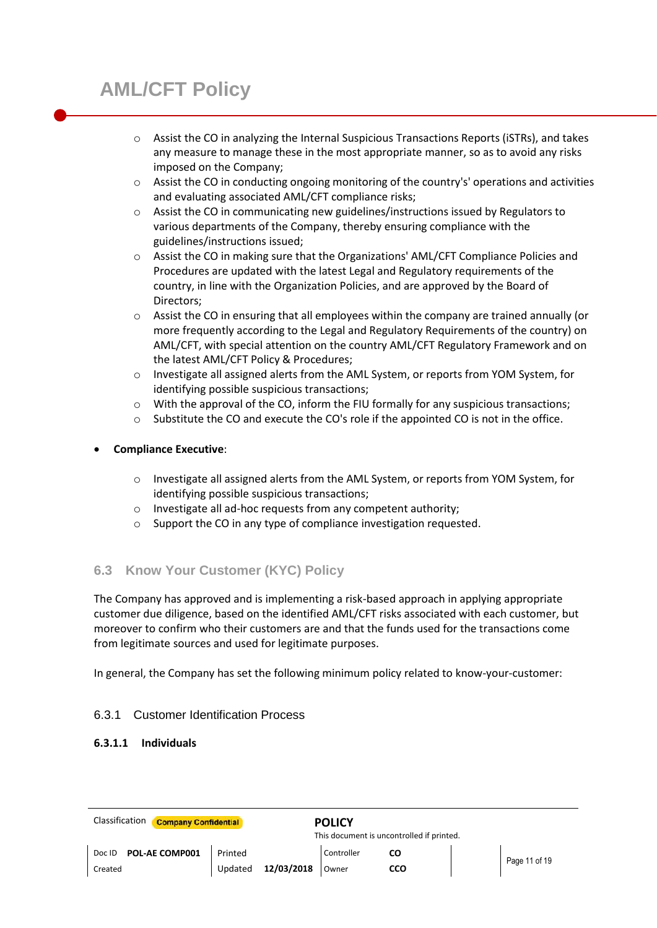- o Assist the CO in analyzing the Internal Suspicious Transactions Reports (iSTRs), and takes any measure to manage these in the most appropriate manner, so as to avoid any risks imposed on the Company;
- $\circ$  Assist the CO in conducting ongoing monitoring of the country's' operations and activities and evaluating associated AML/CFT compliance risks;
- $\circ$  Assist the CO in communicating new guidelines/instructions issued by Regulators to various departments of the Company, thereby ensuring compliance with the guidelines/instructions issued;
- o Assist the CO in making sure that the Organizations' AML/CFT Compliance Policies and Procedures are updated with the latest Legal and Regulatory requirements of the country, in line with the Organization Policies, and are approved by the Board of Directors;
- o Assist the CO in ensuring that all employees within the company are trained annually (or more frequently according to the Legal and Regulatory Requirements of the country) on AML/CFT, with special attention on the country AML/CFT Regulatory Framework and on the latest AML/CFT Policy & Procedures;
- o Investigate all assigned alerts from the AML System, or reports from YOM System, for identifying possible suspicious transactions;
- $\circ$  With the approval of the CO, inform the FIU formally for any suspicious transactions;
- $\circ$  Substitute the CO and execute the CO's role if the appointed CO is not in the office.

## **Compliance Executive**:

- o Investigate all assigned alerts from the AML System, or reports from YOM System, for identifying possible suspicious transactions;
- o Investigate all ad-hoc requests from any competent authority;
- o Support the CO in any type of compliance investigation requested.

## **6.3 Know Your Customer (KYC) Policy**

The Company has approved and is implementing a risk-based approach in applying appropriate customer due diligence, based on the identified AML/CFT risks associated with each customer, but moreover to confirm who their customers are and that the funds used for the transactions come from legitimate sources and used for legitimate purposes.

In general, the Company has set the following minimum policy related to know-your-customer:

## 6.3.1 Customer Identification Process

## **6.3.1.1 Individuals**

| Classification<br><b>Company Confidential</b> |         | <b>POLICY</b><br>This document is uncontrolled if printed. |            |     |  |               |
|-----------------------------------------------|---------|------------------------------------------------------------|------------|-----|--|---------------|
| <b>POL-AE COMP001</b><br>Doc ID               | Printed |                                                            | Controller | CO  |  | Page 11 of 19 |
| Created                                       | Updated | 12/03/2018                                                 | Owner      | ссо |  |               |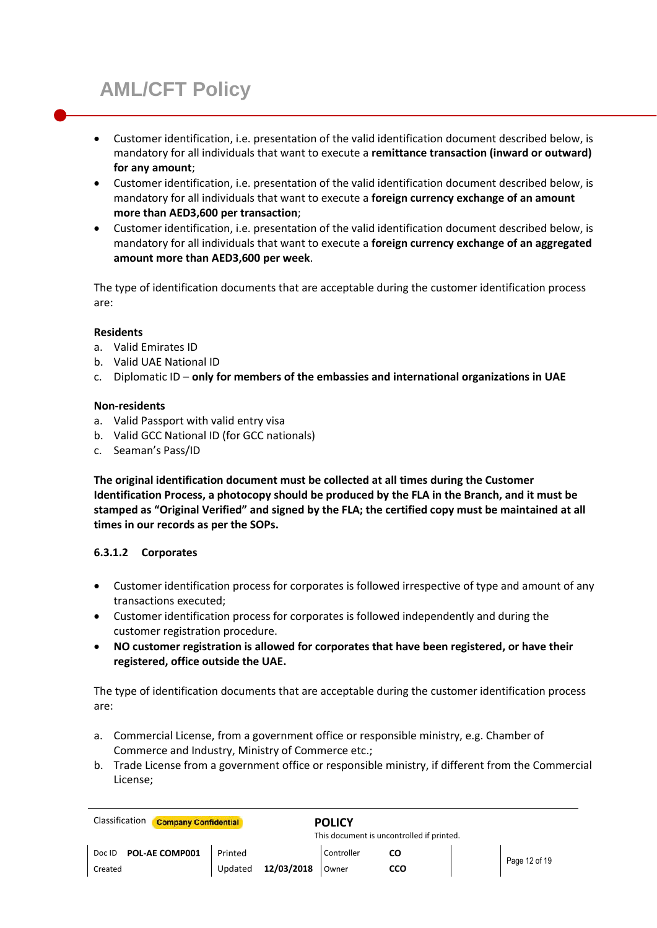- Customer identification, i.e. presentation of the valid identification document described below, is mandatory for all individuals that want to execute a **remittance transaction (inward or outward) for any amount**;
- Customer identification, i.e. presentation of the valid identification document described below, is mandatory for all individuals that want to execute a **foreign currency exchange of an amount more than AED3,600 per transaction**;
- Customer identification, i.e. presentation of the valid identification document described below, is mandatory for all individuals that want to execute a **foreign currency exchange of an aggregated amount more than AED3,600 per week**.

The type of identification documents that are acceptable during the customer identification process are:

## **Residents**

- a. Valid Emirates ID
- b. Valid UAE National ID
- c. Diplomatic ID **only for members of the embassies and international organizations in UAE**

#### **Non-residents**

- a. Valid Passport with valid entry visa
- b. Valid GCC National ID (for GCC nationals)
- c. Seaman's Pass/ID

**The original identification document must be collected at all times during the Customer Identification Process, a photocopy should be produced by the FLA in the Branch, and it must be stamped as "Original Verified" and signed by the FLA; the certified copy must be maintained at all times in our records as per the SOPs.**

## **6.3.1.2 Corporates**

- Customer identification process for corporates is followed irrespective of type and amount of any transactions executed;
- Customer identification process for corporates is followed independently and during the customer registration procedure.
- **NO customer registration is allowed for corporates that have been registered, or have their registered, office outside the UAE.**

The type of identification documents that are acceptable during the customer identification process are:

- a. Commercial License, from a government office or responsible ministry, e.g. Chamber of Commerce and Industry, Ministry of Commerce etc.;
- b. Trade License from a government office or responsible ministry, if different from the Commercial License;

| Classification<br><b>Company Confidential</b> |                       | <b>POLICY</b> |                                           |               |
|-----------------------------------------------|-----------------------|---------------|-------------------------------------------|---------------|
|                                               |                       |               | This document is uncontrolled if printed. |               |
| POL-AE COMP001<br>Doc ID                      | Printed               | Controller    | CO                                        | Page 12 of 19 |
| Created                                       | 12/03/2018<br>Updated | Owner         | cco                                       |               |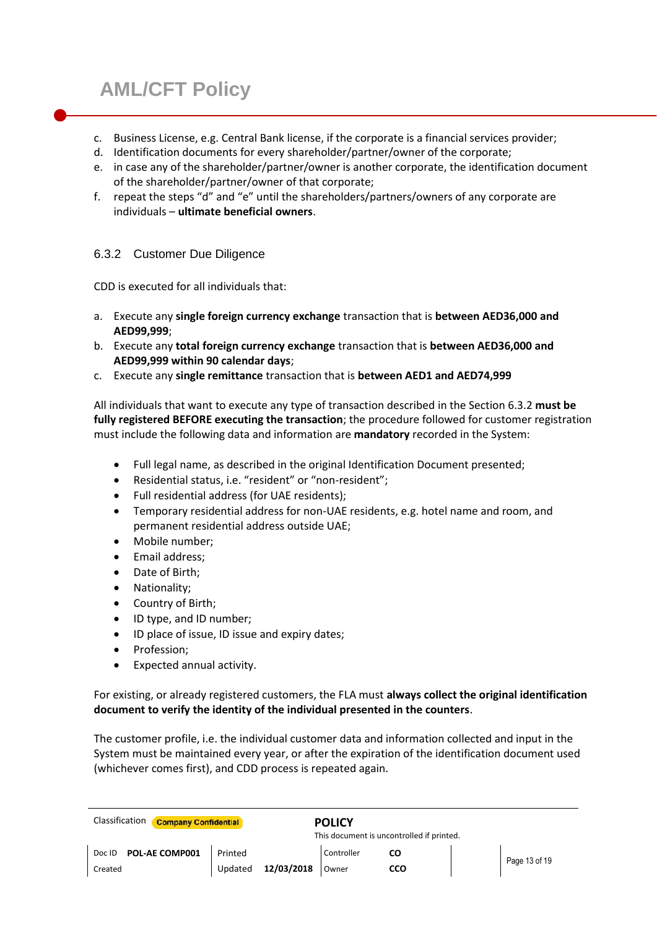- c. Business License, e.g. Central Bank license, if the corporate is a financial services provider;
- d. Identification documents for every shareholder/partner/owner of the corporate;
- e. in case any of the shareholder/partner/owner is another corporate, the identification document of the shareholder/partner/owner of that corporate;
- f. repeat the steps "d" and "e" until the shareholders/partners/owners of any corporate are individuals – **ultimate beneficial owners**.

## 6.3.2 Customer Due Diligence

CDD is executed for all individuals that:

- a. Execute any **single foreign currency exchange** transaction that is **between AED36,000 and AED99,999**;
- b. Execute any **total foreign currency exchange** transaction that is **between AED36,000 and AED99,999 within 90 calendar days**;
- c. Execute any **single remittance** transaction that is **between AED1 and AED74,999**

All individuals that want to execute any type of transaction described in the Section 6.3.2 **must be fully registered BEFORE executing the transaction**; the procedure followed for customer registration must include the following data and information are **mandatory** recorded in the System:

- Full legal name, as described in the original Identification Document presented;
- Residential status, i.e. "resident" or "non-resident";
- Full residential address (for UAE residents);
- Temporary residential address for non-UAE residents, e.g. hotel name and room, and permanent residential address outside UAE;
- Mobile number:
- Email address:
- Date of Birth;
- Nationality;
- Country of Birth;
- ID type, and ID number;
- ID place of issue, ID issue and expiry dates;
- Profession:
- Expected annual activity.

## For existing, or already registered customers, the FLA must **always collect the original identification document to verify the identity of the individual presented in the counters**.

The customer profile, i.e. the individual customer data and information collected and input in the System must be maintained every year, or after the expiration of the identification document used (whichever comes first), and CDD process is repeated again.

| Classification<br><b>Company Confidential</b><br><b>POLICY</b><br>This document is uncontrolled if printed. |         |            |            |     |  |               |
|-------------------------------------------------------------------------------------------------------------|---------|------------|------------|-----|--|---------------|
| POL-AE COMP001<br>Doc ID                                                                                    | Printed |            | Controller | CО  |  |               |
| Created                                                                                                     | Updated | 12/03/2018 | Owner      | CCO |  | Page 13 of 19 |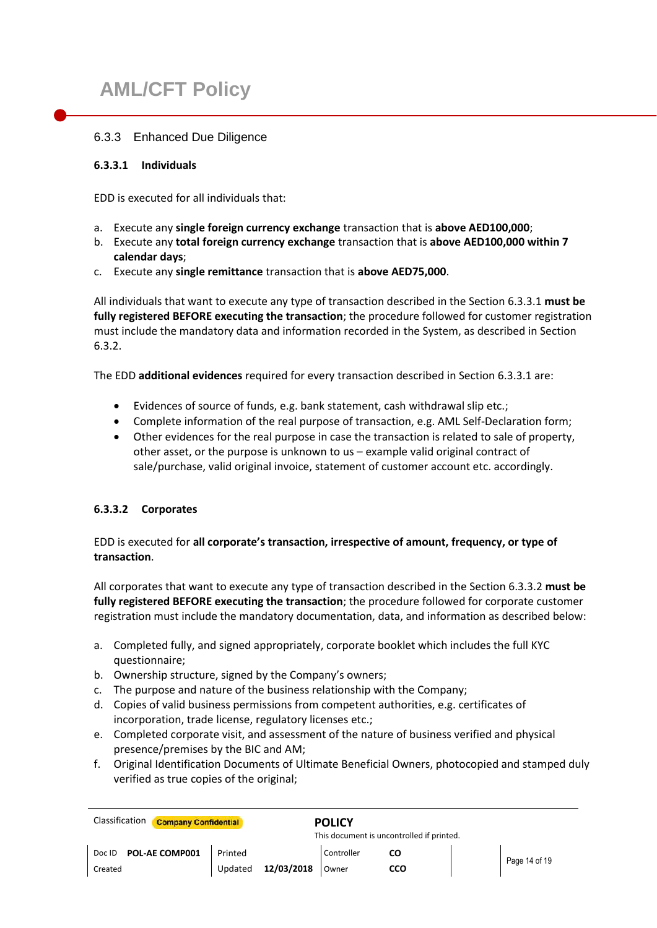## 6.3.3 Enhanced Due Diligence

#### **6.3.3.1 Individuals**

EDD is executed for all individuals that:

- a. Execute any **single foreign currency exchange** transaction that is **above AED100,000**;
- b. Execute any **total foreign currency exchange** transaction that is **above AED100,000 within 7 calendar days**;
- c. Execute any **single remittance** transaction that is **above AED75,000**.

All individuals that want to execute any type of transaction described in the Section 6.3.3.1 **must be fully registered BEFORE executing the transaction**; the procedure followed for customer registration must include the mandatory data and information recorded in the System, as described in Section 6.3.2.

The EDD **additional evidences** required for every transaction described in Section 6.3.3.1 are:

- Evidences of source of funds, e.g. bank statement, cash withdrawal slip etc.;
- Complete information of the real purpose of transaction, e.g. AML Self-Declaration form;
- Other evidences for the real purpose in case the transaction is related to sale of property, other asset, or the purpose is unknown to us – example valid original contract of sale/purchase, valid original invoice, statement of customer account etc. accordingly.

## **6.3.3.2 Corporates**

## EDD is executed for **all corporate's transaction, irrespective of amount, frequency, or type of transaction**.

All corporates that want to execute any type of transaction described in the Section 6.3.3.2 **must be fully registered BEFORE executing the transaction**; the procedure followed for corporate customer registration must include the mandatory documentation, data, and information as described below:

- a. Completed fully, and signed appropriately, corporate booklet which includes the full KYC questionnaire;
- b. Ownership structure, signed by the Company's owners;
- c. The purpose and nature of the business relationship with the Company;
- d. Copies of valid business permissions from competent authorities, e.g. certificates of incorporation, trade license, regulatory licenses etc.;
- e. Completed corporate visit, and assessment of the nature of business verified and physical presence/premises by the BIC and AM;
- f. Original Identification Documents of Ultimate Beneficial Owners, photocopied and stamped duly verified as true copies of the original;

| Classification<br><b>Company Confidential</b> |                                           | <b>POLICY</b> |     |  |               |
|-----------------------------------------------|-------------------------------------------|---------------|-----|--|---------------|
|                                               | This document is uncontrolled if printed. |               |     |  |               |
| POL-AE COMP001<br>Doc ID                      | <b>Printed</b>                            | Controller    |     |  | Page 14 of 19 |
| Created                                       | 12/03/2018 Owner<br>Updated               |               | cco |  |               |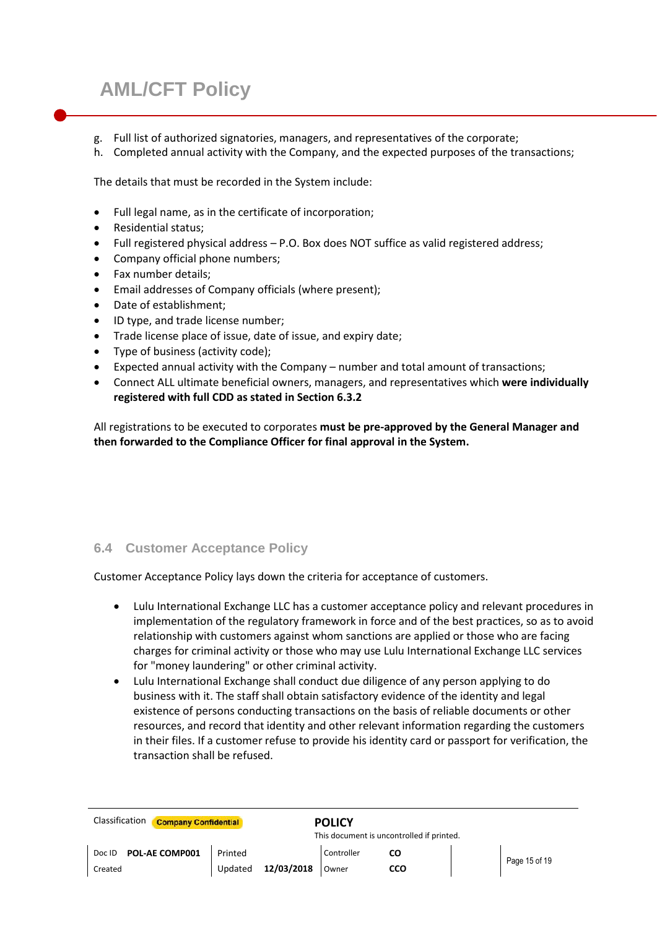- g. Full list of authorized signatories, managers, and representatives of the corporate;
- h. Completed annual activity with the Company, and the expected purposes of the transactions;

The details that must be recorded in the System include:

- Full legal name, as in the certificate of incorporation;
- Residential status;
- Full registered physical address P.O. Box does NOT suffice as valid registered address;
- Company official phone numbers;
- Fax number details;
- Email addresses of Company officials (where present);
- Date of establishment;
- ID type, and trade license number;
- Trade license place of issue, date of issue, and expiry date;
- Type of business (activity code);
- Expected annual activity with the Company number and total amount of transactions;
- Connect ALL ultimate beneficial owners, managers, and representatives which **were individually registered with full CDD as stated in Section 6.3.2**

All registrations to be executed to corporates **must be pre-approved by the General Manager and then forwarded to the Compliance Officer for final approval in the System.**

#### **6.4 Customer Acceptance Policy**

Customer Acceptance Policy lays down the criteria for acceptance of customers.

- Lulu International Exchange LLC has a customer acceptance policy and relevant procedures in implementation of the regulatory framework in force and of the best practices, so as to avoid relationship with customers against whom sanctions are applied or those who are facing charges for criminal activity or those who may use Lulu International Exchange LLC services for "money laundering" or other criminal activity.
- Lulu International Exchange shall conduct due diligence of any person applying to do business with it. The staff shall obtain satisfactory evidence of the identity and legal existence of persons conducting transactions on the basis of reliable documents or other resources, and record that identity and other relevant information regarding the customers in their files. If a customer refuse to provide his identity card or passport for verification, the transaction shall be refused.

| Classification | <b>Company Confidential</b><br><b>POLICY</b><br>This document is uncontrolled if printed. |         |            |            |     |  |               |
|----------------|-------------------------------------------------------------------------------------------|---------|------------|------------|-----|--|---------------|
| Doc ID         | POL-AE COMP001                                                                            | Printed |            | Controller | CO  |  | Page 15 of 19 |
| Created        |                                                                                           | Updated | 12/03/2018 | Owner      | cco |  |               |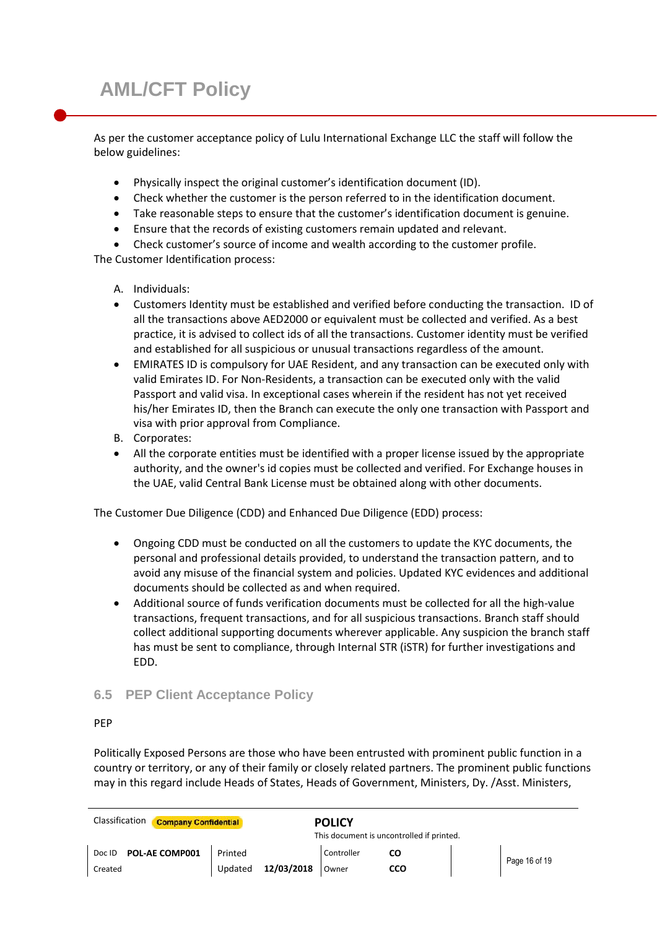As per the customer acceptance policy of Lulu International Exchange LLC the staff will follow the below guidelines:

- Physically inspect the original customer's identification document (ID).
- Check whether the customer is the person referred to in the identification document.
- Take reasonable steps to ensure that the customer's identification document is genuine.
- Ensure that the records of existing customers remain updated and relevant.
- Check customer's source of income and wealth according to the customer profile. The Customer Identification process:
	- A. Individuals:
	- Customers Identity must be established and verified before conducting the transaction. ID of all the transactions above AED2000 or equivalent must be collected and verified. As a best practice, it is advised to collect ids of all the transactions. Customer identity must be verified and established for all suspicious or unusual transactions regardless of the amount.
	- EMIRATES ID is compulsory for UAE Resident, and any transaction can be executed only with valid Emirates ID. For Non-Residents, a transaction can be executed only with the valid Passport and valid visa. In exceptional cases wherein if the resident has not yet received his/her Emirates ID, then the Branch can execute the only one transaction with Passport and visa with prior approval from Compliance.
	- B. Corporates:
	- All the corporate entities must be identified with a proper license issued by the appropriate authority, and the owner's id copies must be collected and verified. For Exchange houses in the UAE, valid Central Bank License must be obtained along with other documents.

The Customer Due Diligence (CDD) and Enhanced Due Diligence (EDD) process:

- Ongoing CDD must be conducted on all the customers to update the KYC documents, the personal and professional details provided, to understand the transaction pattern, and to avoid any misuse of the financial system and policies. Updated KYC evidences and additional documents should be collected as and when required.
- Additional source of funds verification documents must be collected for all the high-value transactions, frequent transactions, and for all suspicious transactions. Branch staff should collect additional supporting documents wherever applicable. Any suspicion the branch staff has must be sent to compliance, through Internal STR (iSTR) for further investigations and EDD.

## **6.5 PEP Client Acceptance Policy**

#### PEP

Politically Exposed Persons are those who have been entrusted with prominent public function in a country or territory, or any of their family or closely related partners. The prominent public functions may in this regard include Heads of States, Heads of Government, Ministers, Dy. /Asst. Ministers,

| Classification                            | <b>Company Confidential</b><br><b>POLICY</b> |            |     |  |               |
|-------------------------------------------|----------------------------------------------|------------|-----|--|---------------|
| This document is uncontrolled if printed. |                                              |            |     |  |               |
| <b>POL-AE COMP001</b><br>Doc ID           | Printed                                      | Controller |     |  | Page 16 of 19 |
| Created                                   | 12/03/2018<br>Updated                        | Owner      | cco |  |               |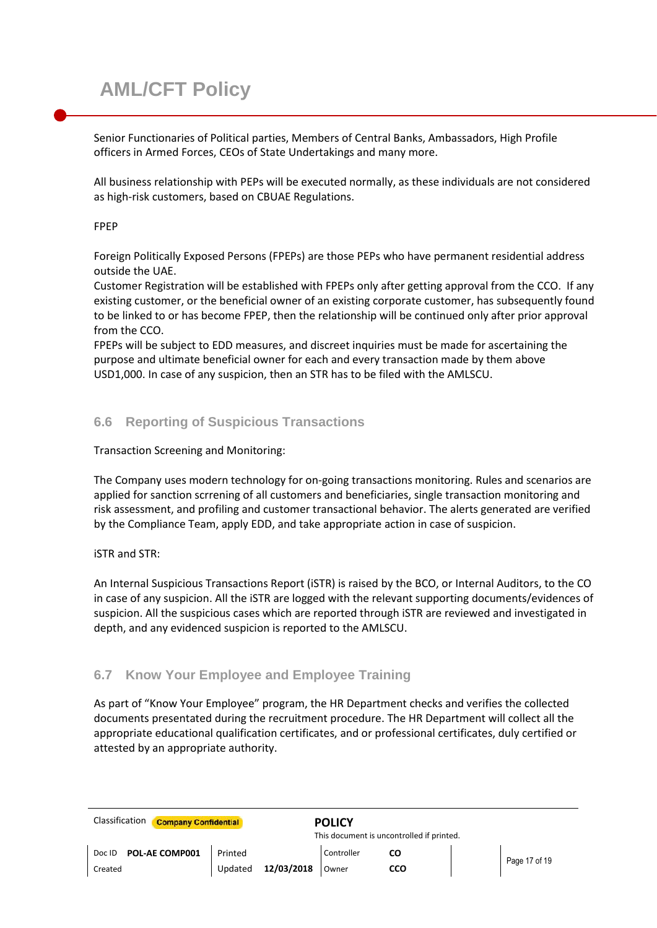Senior Functionaries of Political parties, Members of Central Banks, Ambassadors, High Profile officers in Armed Forces, CEOs of State Undertakings and many more.

All business relationship with PEPs will be executed normally, as these individuals are not considered as high-risk customers, based on CBUAE Regulations.

#### FPEP

Foreign Politically Exposed Persons (FPEPs) are those PEPs who have permanent residential address outside the UAE.

Customer Registration will be established with FPEPs only after getting approval from the CCO. If any existing customer, or the beneficial owner of an existing corporate customer, has subsequently found to be linked to or has become FPEP, then the relationship will be continued only after prior approval from the CCO.

FPEPs will be subject to EDD measures, and discreet inquiries must be made for ascertaining the purpose and ultimate beneficial owner for each and every transaction made by them above USD1,000. In case of any suspicion, then an STR has to be filed with the AMLSCU.

## **6.6 Reporting of Suspicious Transactions**

Transaction Screening and Monitoring:

The Company uses modern technology for on-going transactions monitoring. Rules and scenarios are applied for sanction scrrening of all customers and beneficiaries, single transaction monitoring and risk assessment, and profiling and customer transactional behavior. The alerts generated are verified by the Compliance Team, apply EDD, and take appropriate action in case of suspicion.

#### iSTR and STR:

An Internal Suspicious Transactions Report (iSTR) is raised by the BCO, or Internal Auditors, to the CO in case of any suspicion. All the iSTR are logged with the relevant supporting documents/evidences of suspicion. All the suspicious cases which are reported through iSTR are reviewed and investigated in depth, and any evidenced suspicion is reported to the AMLSCU.

## **6.7 Know Your Employee and Employee Training**

As part of "Know Your Employee" program, the HR Department checks and verifies the collected documents presentated during the recruitment procedure. The HR Department will collect all the appropriate educational qualification certificates, and or professional certificates, duly certified or attested by an appropriate authority.

| Classification           | <b>Company Confidential</b><br><b>POLICY</b> |            |     |  |               |
|--------------------------|----------------------------------------------|------------|-----|--|---------------|
|                          | This document is uncontrolled if printed.    |            |     |  |               |
| POL-AE COMP001<br>Doc ID | Printed                                      | Controller |     |  | Page 17 of 19 |
| Created                  | 12/03/2018<br>Updated                        | Owner      | cco |  |               |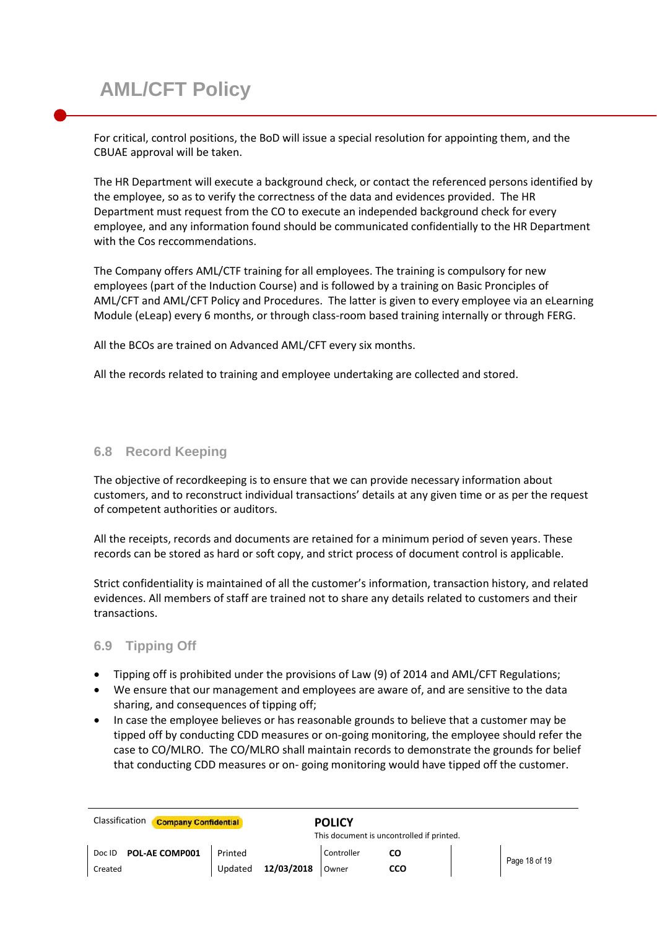For critical, control positions, the BoD will issue a special resolution for appointing them, and the CBUAE approval will be taken.

The HR Department will execute a background check, or contact the referenced persons identified by the employee, so as to verify the correctness of the data and evidences provided. The HR Department must request from the CO to execute an independed background check for every employee, and any information found should be communicated confidentially to the HR Department with the Cos reccommendations.

The Company offers AML/CTF training for all employees. The training is compulsory for new employees (part of the Induction Course) and is followed by a training on Basic Pronciples of AML/CFT and AML/CFT Policy and Procedures. The latter is given to every employee via an eLearning Module (eLeap) every 6 months, or through class-room based training internally or through FERG.

All the BCOs are trained on Advanced AML/CFT every six months.

All the records related to training and employee undertaking are collected and stored.

## **6.8 Record Keeping**

The objective of recordkeeping is to ensure that we can provide necessary information about customers, and to reconstruct individual transactions' details at any given time or as per the request of competent authorities or auditors.

All the receipts, records and documents are retained for a minimum period of seven years. These records can be stored as hard or soft copy, and strict process of document control is applicable.

Strict confidentiality is maintained of all the customer's information, transaction history, and related evidences. All members of staff are trained not to share any details related to customers and their transactions.

## **6.9 Tipping Off**

- Tipping off is prohibited under the provisions of Law (9) of 2014 and AML/CFT Regulations;
- We ensure that our management and employees are aware of, and are sensitive to the data sharing, and consequences of tipping off;
- In case the employee believes or has reasonable grounds to believe that a customer may be tipped off by conducting CDD measures or on-going monitoring, the employee should refer the case to CO/MLRO. The CO/MLRO shall maintain records to demonstrate the grounds for belief that conducting CDD measures or on- going monitoring would have tipped off the customer.

| Classification<br><b>Company Confidential</b> |                                           | <b>POLICY</b> |            |  |               |
|-----------------------------------------------|-------------------------------------------|---------------|------------|--|---------------|
|                                               | This document is uncontrolled if printed. |               |            |  |               |
| POL-AE COMP001<br>Doc ID                      | Printed                                   | Controller    |            |  | Page 18 of 19 |
| Created                                       | 12/03/2018<br>Updated                     | Owner         | <b>CCO</b> |  |               |